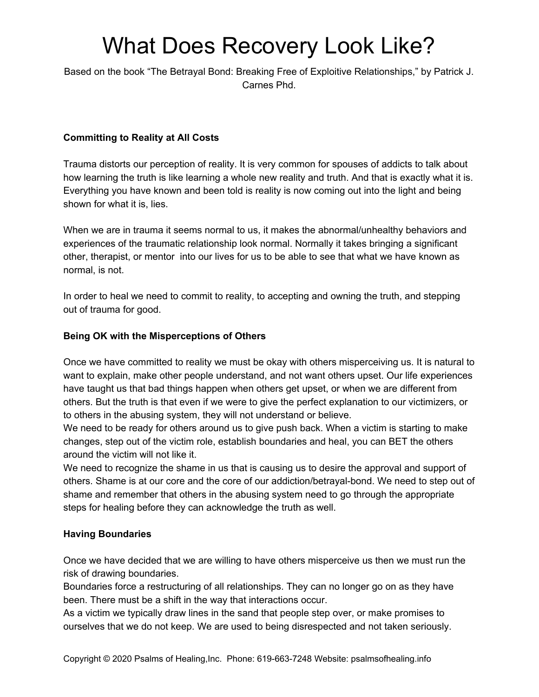# What Does Recovery Look Like?

Based on the book "The Betrayal Bond: Breaking Free of Exploitive Relationships," by Patrick J. Carnes Phd.

## **Committing to Reality at All Costs**

Trauma distorts our perception of reality. It is very common for spouses of addicts to talk about how learning the truth is like learning a whole new reality and truth. And that is exactly what it is. Everything you have known and been told is reality is now coming out into the light and being shown for what it is, lies.

When we are in trauma it seems normal to us, it makes the abnormal/unhealthy behaviors and experiences of the traumatic relationship look normal. Normally it takes bringing a significant other, therapist, or mentor into our lives for us to be able to see that what we have known as normal, is not.

In order to heal we need to commit to reality, to accepting and owning the truth, and stepping out of trauma for good.

### **Being OK with the Misperceptions of Others**

Once we have committed to reality we must be okay with others misperceiving us. It is natural to want to explain, make other people understand, and not want others upset. Our life experiences have taught us that bad things happen when others get upset, or when we are different from others. But the truth is that even if we were to give the perfect explanation to our victimizers, or to others in the abusing system, they will not understand or believe.

We need to be ready for others around us to give push back. When a victim is starting to make changes, step out of the victim role, establish boundaries and heal, you can BET the others around the victim will not like it.

We need to recognize the shame in us that is causing us to desire the approval and support of others. Shame is at our core and the core of our addiction/betrayal-bond. We need to step out of shame and remember that others in the abusing system need to go through the appropriate steps for healing before they can acknowledge the truth as well.

### **Having Boundaries**

Once we have decided that we are willing to have others misperceive us then we must run the risk of drawing boundaries.

Boundaries force a restructuring of all relationships. They can no longer go on as they have been. There must be a shift in the way that interactions occur.

As a victim we typically draw lines in the sand that people step over, or make promises to ourselves that we do not keep. We are used to being disrespected and not taken seriously.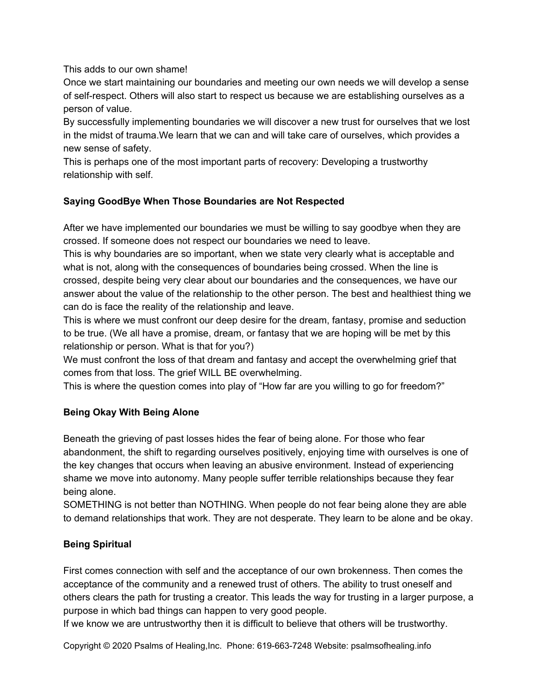## This adds to our own shame!

Once we start maintaining our boundaries and meeting our own needs we will develop a sense of self-respect. Others will also start to respect us because we are establishing ourselves as a person of value.

By successfully implementing boundaries we will discover a new trust for ourselves that we lost in the midst of trauma.We learn that we can and will take care of ourselves, which provides a new sense of safety.

This is perhaps one of the most important parts of recovery: Developing a trustworthy relationship with self.

# **Saying GoodBye When Those Boundaries are Not Respected**

After we have implemented our boundaries we must be willing to say goodbye when they are crossed. If someone does not respect our boundaries we need to leave.

This is why boundaries are so important, when we state very clearly what is acceptable and what is not, along with the consequences of boundaries being crossed. When the line is crossed, despite being very clear about our boundaries and the consequences, we have our answer about the value of the relationship to the other person. The best and healthiest thing we can do is face the reality of the relationship and leave.

This is where we must confront our deep desire for the dream, fantasy, promise and seduction to be true. (We all have a promise, dream, or fantasy that we are hoping will be met by this relationship or person. What is that for you?)

We must confront the loss of that dream and fantasy and accept the overwhelming grief that comes from that loss. The grief WILL BE overwhelming.

This is where the question comes into play of "How far are you willing to go for freedom?"

# **Being Okay With Being Alone**

Beneath the grieving of past losses hides the fear of being alone. For those who fear abandonment, the shift to regarding ourselves positively, enjoying time with ourselves is one of the key changes that occurs when leaving an abusive environment. Instead of experiencing shame we move into autonomy. Many people suffer terrible relationships because they fear being alone.

SOMETHING is not better than NOTHING. When people do not fear being alone they are able to demand relationships that work. They are not desperate. They learn to be alone and be okay.

# **Being Spiritual**

First comes connection with self and the acceptance of our own brokenness. Then comes the acceptance of the community and a renewed trust of others. The ability to trust oneself and others clears the path for trusting a creator. This leads the way for trusting in a larger purpose, a purpose in which bad things can happen to very good people.

If we know we are untrustworthy then it is difficult to believe that others will be trustworthy.

Copyright © 2020 Psalms of Healing,Inc. Phone: 619-663-7248 Website: psalmsofhealing.info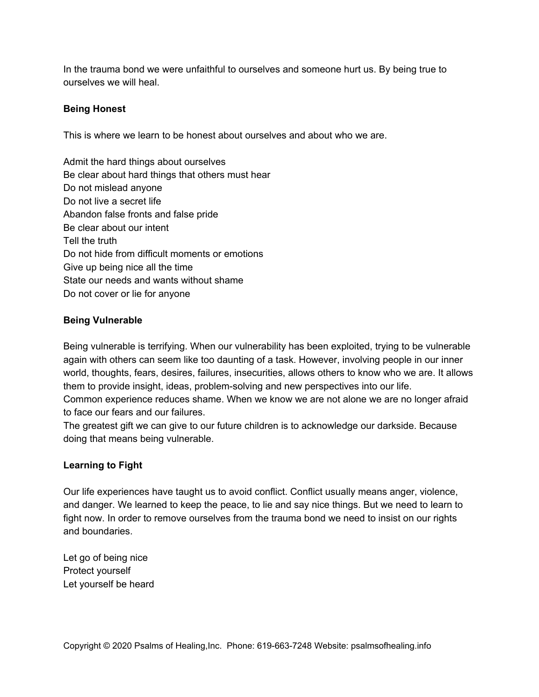In the trauma bond we were unfaithful to ourselves and someone hurt us. By being true to ourselves we will heal.

## **Being Honest**

This is where we learn to be honest about ourselves and about who we are.

Admit the hard things about ourselves Be clear about hard things that others must hear Do not mislead anyone Do not live a secret life Abandon false fronts and false pride Be clear about our intent Tell the truth Do not hide from difficult moments or emotions Give up being nice all the time State our needs and wants without shame Do not cover or lie for anyone

## **Being Vulnerable**

Being vulnerable is terrifying. When our vulnerability has been exploited, trying to be vulnerable again with others can seem like too daunting of a task. However, involving people in our inner world, thoughts, fears, desires, failures, insecurities, allows others to know who we are. It allows them to provide insight, ideas, problem-solving and new perspectives into our life. Common experience reduces shame. When we know we are not alone we are no longer afraid to face our fears and our failures.

The greatest gift we can give to our future children is to acknowledge our darkside. Because doing that means being vulnerable.

### **Learning to Fight**

Our life experiences have taught us to avoid conflict. Conflict usually means anger, violence, and danger. We learned to keep the peace, to lie and say nice things. But we need to learn to fight now. In order to remove ourselves from the trauma bond we need to insist on our rights and boundaries.

Let go of being nice Protect yourself Let yourself be heard